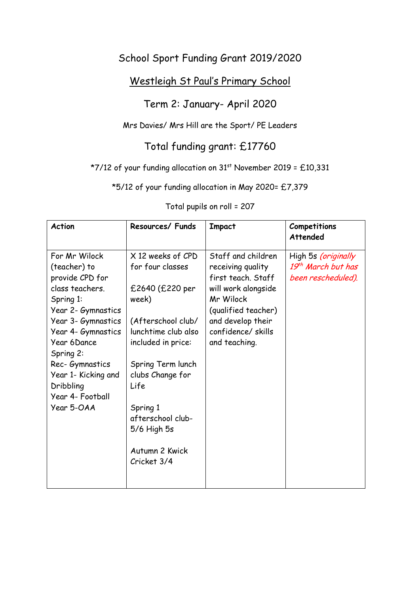## School Sport Funding Grant 2019/2020

## Westleigh St Paul's Primary School

## Term 2: January- April 2020

#### Mrs Davies/ Mrs Hill are the Sport/ PE Leaders

# Total funding grant: £17760

### \*7/12 of your funding allocation on  $31<sup>st</sup>$  November 2019 = £10,331

\*5/12 of your funding allocation in May 2020= £7,379

| <b>Action</b>                                                                                                                                                                                                                                            | Resources/ Funds                                                                                                                                                                      | <b>Impact</b>                                                                                                                                                                       | Competitions<br>Attended                                        |
|----------------------------------------------------------------------------------------------------------------------------------------------------------------------------------------------------------------------------------------------------------|---------------------------------------------------------------------------------------------------------------------------------------------------------------------------------------|-------------------------------------------------------------------------------------------------------------------------------------------------------------------------------------|-----------------------------------------------------------------|
| For Mr Wilock<br>(teacher) to<br>provide CPD for<br>class teachers.<br>Spring 1:<br>Year 2- Gymnastics<br>Year 3- Gymnastics<br>Year 4- Gymnastics<br>Year 6Dance<br>Spring 2:<br>Rec-Gymnastics<br>Year 1- Kicking and<br>Dribbling<br>Year 4- Football | X 12 weeks of CPD<br>for four classes<br>£2640 (£220 per<br>week)<br>(Afterschool club/<br>lunchtime club also<br>included in price:<br>Spring Term lunch<br>clubs Change for<br>Life | Staff and children<br>receiving quality<br>first teach. Staff<br>will work alongside<br>Mr Wilock<br>(qualified teacher)<br>and develop their<br>confidence/skills<br>and teaching. | High 5s (originally<br>19th March but has<br>been rescheduled). |
| Year 5-OAA                                                                                                                                                                                                                                               | Spring 1<br>afterschool club-<br>$5/6$ High $5s$<br>Autumn 2 Kwick<br>Cricket 3/4                                                                                                     |                                                                                                                                                                                     |                                                                 |

Total pupils on roll = 207